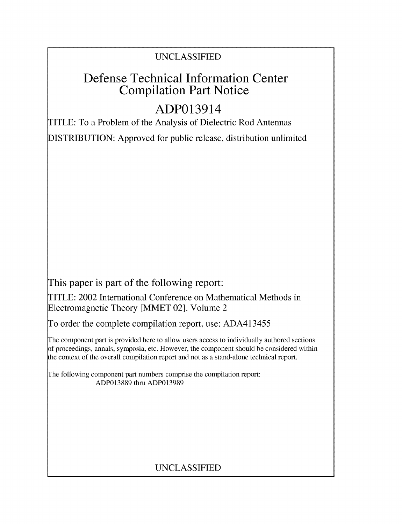## UNCLASSIFIED

## Defense Technical Information Center Compilation Part Notice

# ADP013914

TITLE: To a Problem of the Analysis of Dielectric Rod Antennas

DISTRIBUTION: Approved for public release, distribution unlimited

This paper is part of the following report:

TITLE: 2002 International Conference on Mathematical Methods in Electromagnetic Theory [MMET 02]. Volume 2

To order the complete compilation report, use: ADA413455

The component part is provided here to allow users access to individually authored sections f proceedings, annals, symposia, etc. However, the component should be considered within the context of the overall compilation report and not as a stand-alone technical report.

The following component part numbers comprise the compilation report: ADP013889 thru ADP013989

## UNCLASSIFIED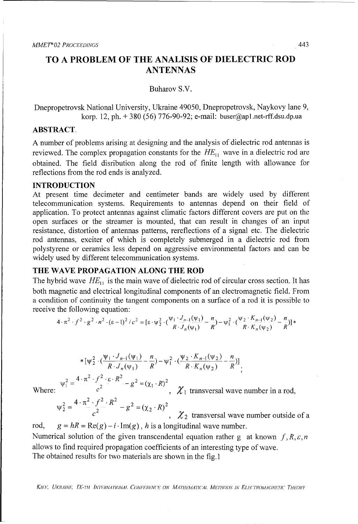### TO **A** PROBLEM OF THE **ANALISIS** OF DIELECTRIC ROD **ANTENNAS**

Buharov S.V.

Dnepropetrovsk National University, Ukraine 49050, Dnepropetrovsk, Naykovy lane 9, korp. 12, ph. + 380 (56) 776-90-92; e-mail: buser@ap1.net-rff.dsu.dp.ua

#### ABSTRACT.

A number of problems arising at designing and the analysis of dielectric rod antennas is reviewed. The complex propagation constants for the  $HE_{11}$  wave in a dielectric rod are obtained. The field disribution along the rod of finite length with allowance for reflections from the rod ends is analyzed.

#### **INTRODUCTION**

At present time decimeter and centimeter bands are widely used by different telecommunication systems. Requirements to antennas depend on their field of application. To protect antennas against climatic factors different covers are put on the open surfaces or the streamer is mounted, that can result in changes of an input resistance, distortion of antennas patterns, rereflections of a signal etc. The dielectric rod antennas, exciter of which is completely submerged in a dielectric rod from polystyrene or ceramics less depend on aggressive environmental factors and can be widely used by different telecommunication systems.

#### THE WAVE PROPAGATION **ALONG** THE ROD

The hybrid wave  $HE_{11}$  is the main wave of dielectric rod of circular cross section. It has both magnetic and electrical longitudinal components of an electromagnetic field. From a condition of continuity the tangent components on a surface of a rod it is possible to receive the following equation:

$$
4 \cdot \pi^2 \cdot f^2 \cdot g^2 \cdot n^2 \cdot (\epsilon - 1)^2 / c^2 = [\epsilon \cdot \psi_2^2 \cdot (\frac{\psi_1 \cdot J_{n-1}(\psi_1)}{R \cdot J_n(\psi_1)} - \frac{n}{R}) - \psi_1^2 \cdot (\frac{\psi_2 \cdot K_{n-1}(\psi_2)}{R \cdot K_n(\psi_2)} - \frac{n}{R})] *
$$

\*
$$
[\psi_2^2 \cdot (\frac{\psi_1 \cdot J_{n-1}(\psi_1)}{R \cdot J_n(\psi_1)} - \frac{n}{R}) - \psi_1^2 \cdot (\frac{\psi_2 \cdot K_{n-1}(\psi_2)}{R \cdot K_n(\psi_2)} - \frac{n}{R})]
$$

Where:  $c^2$  **c**,  $\chi_1$  transversal wave number in a rod.

$$
\Psi_2^2 = \frac{4 \cdot \pi^2 \cdot f^2 \cdot R^2}{c^2} - g^2 = (\chi_2 \cdot R)^2
$$

 $\psi_1^2 = \frac{4 \cdot \pi^2 \cdot f^2 \cdot \varepsilon \cdot R^2}{2} - g^2 = (\chi_1 \cdot R)$ 

 $\chi$   $\chi$ <sub>2</sub> transversal wave number outside of a rod,  $g = hR = \text{Re}(g) - i \cdot \text{Im}(g)$ , *h* is a longitudinal wave number.

Numerical solution of the given transcendental equation rather g at known  $f, R, \varepsilon, n$ allows to find required propagation coefficients of an interesting type of wave. The obtained results for two materials are shown in the fig. 1

*KlI,r UKRAINI', IX-TfH INT7RNATIONAI, CONRI.WC'N('F ON MA,7'HEAMA77CAl. MIETHODS IN Eli'CTIROMAGNIv7u THEOiY*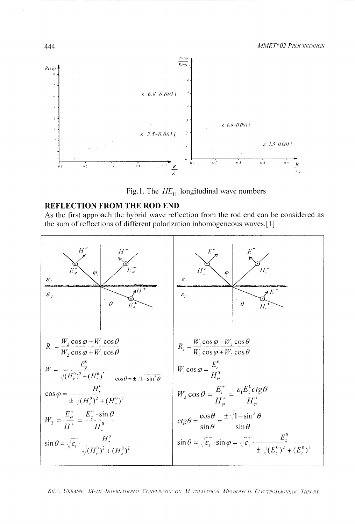



#### REFLECTION FROM THE ROD END

As the first approach the hybrid wave reflection from the rod end can be considered as the sum of reflections of different polarization inhomogeneous waves.[1]



KIET, UKRAINE. IX-TH INTERNATIONAL CONFERENCE ON MATHEMATICAL METHODS IN ELECTROMAGNETIC THEORY